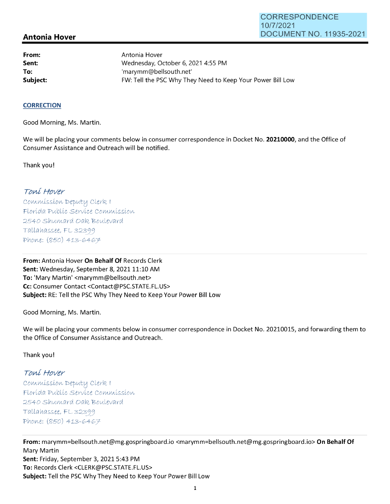# **Antonia Hover**

**From: Sent: To:** 

Antonia Hover Wednesday, October 6, 2021 4:55 PM 'marymm@bellsouth.net' **Subject: FW: Tell the PSC Why They Need to Keep Your Power Bill Low** 

#### **CORRECTION**

Good Morning, Ms. Martin.

We will be placing your comments below in consumer correspondence in Docket No. **20210000,** and the Office of Consumer Assistance and Outreach will be notified.

Thank you!

## Toní Hover

Commission Deputy Clerk 1 Florída Publíc Service Commission 2540 Shumard Oak Boulevard  $Tallahasse, FL 32399$ Phone: (850) 413-6467

**From:** Antonia Hover **On Behalf Of** Records Clerk Sent: Wednesday, September 8, 2021 11:10 AM **To:** 'Mary Martin' <marymm@bellsouth.net> **Cc:** Consumer Contact <Contact@PSC.STATE.FL.US> **Subject:** RE: Tell the PSC Why They Need to Keep Your Power Bill Low

Good Morning, Ms. Martin.

We will be placing your comments below in consumer correspondence in Docket No. 20210015, and forwarding them to the Office of Consumer Assistance and Outreach.

Thank you!

# Toní Hover

 $Commission$  Deputy Clerk I Florída Publíc Servíce Commission 2540 Shumard Oak Boulevard  $Tallahasse, FL 32399$ Phone: (850) 413-6467

**From:** marymm=bellsouth.net@mg.gospringboard.io <marymm=bellsouth.net@mg.gospringboard.io> **On Behalf Of**  Mary Martin **Sent:** Friday, September 3, 2021 5:43 PM **To:** Records Clerk <CLERK@PSC.STATE.FL.US> **Subject:** Tell the PSC Why They Need to Keep Your Power Bill Low